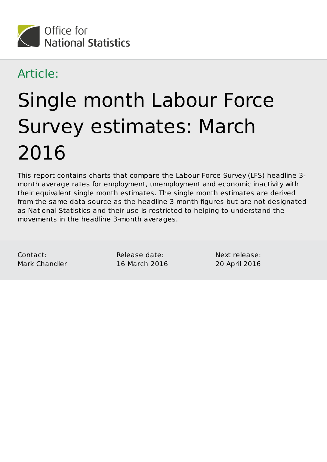

#### Article:

# Single month Labour Force Survey estimates: March 2016

This report contains charts that compare the Labour Force Survey (LFS) headline 3 month average rates for employment, unemployment and economic inactivity with their equivalent single month estimates. The single month estimates are derived from the same data source as the headline 3-month figures but are not designated as National Statistics and their use is restricted to helping to understand the movements in the headline 3-month averages.

Contact: Mark Chandler Release date: 16 March 2016 Next release: 20 April 2016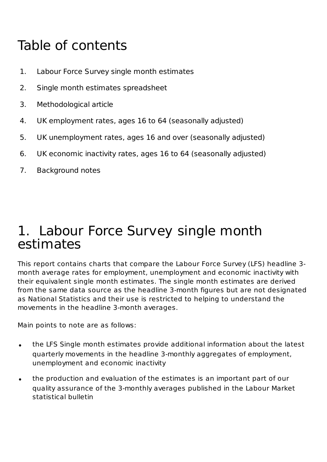# Table of contents

- 1. Labour Force Survey single month estimates
- 2. Single month estimates spreadsheet
- 3. Methodological article
- 4. UK employment rates, ages 16 to 64 (seasonally adjusted)
- 5. UK unemployment rates, ages 16 and over (seasonally adjusted)
- 6. UK economic inactivity rates, ages 16 to 64 (seasonally adjusted)
- 7. Background notes

#### 1. Labour Force Survey single month estimates

This report contains charts that compare the Labour Force Survey (LFS) headline 3 month average rates for employment, unemployment and economic inactivity with their equivalent single month estimates. The single month estimates are derived from the same data source as the headline 3-month figures but are not designated as National Statistics and their use is restricted to helping to understand the movements in the headline 3-month averages.

Main points to note are as follows:

- the LFS Single month estimates provide additional information about the latest  $\bullet$ quarterly movements in the headline 3-monthly aggregates of employment, unemployment and economic inactivity
- the production and evaluation of the estimates is an important part of our  $\bullet$ quality assurance of the 3-monthly averages published in the Labour Market statistical bulletin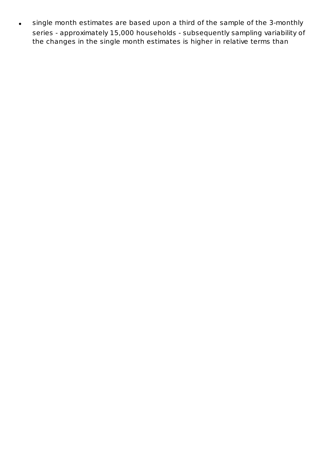single month estimates are based upon a third of the sample of the 3-monthly  $\bullet$ series - approximately 15,000 households - subsequently sampling variability of the changes in the single month estimates is higher in relative terms than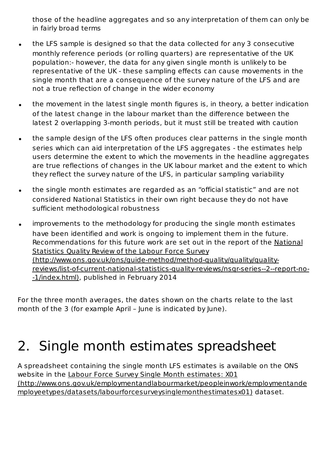those of the headline aggregates and so any interpretation of them can only be in fairly broad terms

- the LFS sample is designed so that the data collected for any 3 consecutive monthly reference periods (or rolling quarters) are representative of the UK population:- however, the data for any given single month is unlikely to be representative of the UK - these sampling effects can cause movements in the single month that are a consequence of the survey nature of the LFS and are not a true reflection of change in the wider economy
- the movement in the latest single month figures is, in theory, a better indication  $\bullet$ of the latest change in the labour market than the difference between the latest 2 overlapping 3-month periods, but it must still be treated with caution
- the sample design of the LFS often produces clear patterns in the single month  $\bullet$ series which can aid interpretation of the LFS aggregates - the estimates help users determine the extent to which the movements in the headline aggregates are true reflections of changes in the UK labour market and the extent to which they reflect the survey nature of the LFS, in particular sampling variability
- the single month estimates are regarded as an "official statistic" and are not  $\bullet$ considered National Statistics in their own right because they do not have sufficient methodological robustness
- improvements to the methodology for producing the single month estimates  $\bullet$ have been identified and work is ongoing to implement them in the future. Recommendations for this future work are set out in the report of the National Statistics Quality Review of the Labour Force Survey (http://www.ons.gov.uk/ons/guide-method/method-quality/quality/qualityreviews/list-of-current-national-statistics-quality-reviews/nsqr-series--2--report-no- -1/index.html), published in February 2014

For the three month averages, the dates shown on the charts relate to the last month of the 3 (for example April – June is indicated by June).

# 2. Single month estimates spreadsheet

A spreadsheet containing the single month LFS estimates is available on the ONS website in the Labour Force Survey Single Month estimates: X01 (http://www.ons.gov.uk/employmentandlabourmarket/peopleinwork/employmentande mployeetypes/datasets/labourforcesurveysinglemonthestimatesx01) dataset.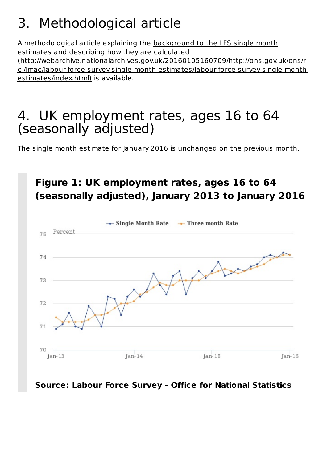# 3. Methodological article

A methodological article explaining the background to the LFS single month estimates and describing how they are calculated (http://webarchive.nationalarchives.gov.uk/20160105160709/http://ons.gov.uk/ons/r el/lmac/labour-force-survey-single-month-estimates/labour-force-survey-single-monthestimates/index.html) is available.

### UK employment rates, ages 16 to 64 4.(seasonally adjusted)

The single month estimate for January 2016 is unchanged on the previous month.



#### **Source: Labour Force Survey - Office for National Statistics**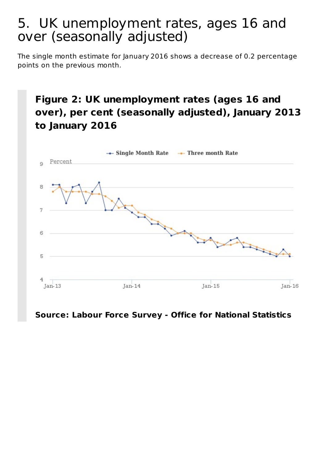#### UK unemployment rates, ages 16 and 5.over (seasonally adjusted)

The single month estimate for January 2016 shows a decrease of 0.2 percentage points on the previous month.

#### **Figure 2: UK unemployment rates (ages 16 and over), per cent (seasonally adjusted), January 2013 to January 2016**



#### **Source: Labour Force Survey - Office for National Statistics**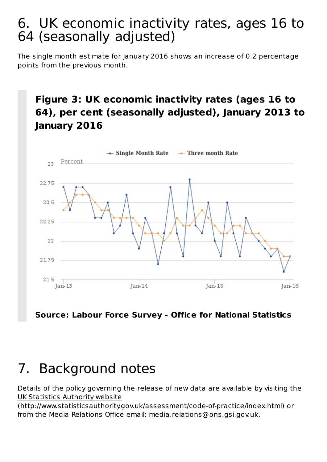#### UK economic inactivity rates, ages 16 to 6. 64 (seasonally adjusted)

The single month estimate for January 2016 shows an increase of 0.2 percentage points from the previous month.

#### **Figure 3: UK economic inactivity rates (ages 16 to 64), per cent (seasonally adjusted), January 2013 to January 2016**



**Source: Labour Force Survey - Office for National Statistics**

## 7. Background notes

Details of the policy governing the release of new data are available by visiting the UK Statistics Authority website (http://www.statisticsauthority.gov.uk/assessment/code-of-practice/index.html) or

from the Media Relations Office email: media.relations@ons.gsi.gov.uk.